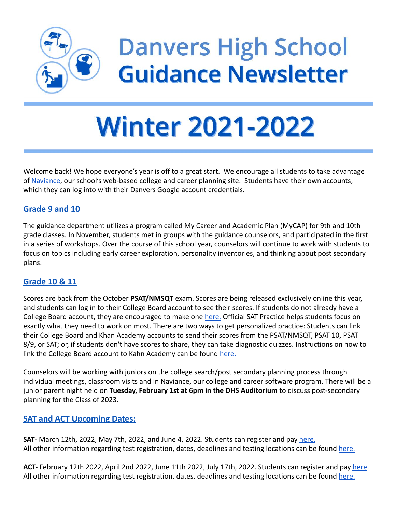

## **Danvers High School Guidance Newsletter**

# **Winter 2021-2022**

Welcome back! We hope everyone's year is off to a great start. We encourage all students to take advantage of [Naviance](https://student.naviance.com/danvers), our school's web-based college and career planning site. Students have their own accounts, which they can log into with their Danvers Google account credentials.

#### **Grade 9 and 10**

The guidance department utilizes a program called My Career and Academic Plan (MyCAP) for 9th and 10th grade classes. In November, students met in groups with the guidance counselors, and participated in the first in a series of workshops. Over the course of this school year, counselors will continue to work with students to focus on topics including early career exploration, personality inventories, and thinking about post secondary plans.

#### **Grade 10 & 11**

Scores are back from the October **PSAT/NMSQT** exam. Scores are being released exclusively online this year, and students can log in to their College Board account to see their scores. If students do not already have a College Board account, they are encouraged to make one [here.](https://cbaccount.collegeboard.org/iamweb/smartRegister) Official SAT Practice helps students focus on exactly what they need to work on most. There are two ways to get personalized practice: Students can link their College Board and Khan Academy accounts to send their scores from the PSAT/NMSQT, PSAT 10, PSAT 8/9, or SAT; or, if students don't have scores to share, they can take diagnostic quizzes. Instructions on how to link the College Board account to Kahn Academy can be found [here.](https://collegereadiness.collegeboard.org/sat/k12-educators/advising-instruction/practice-resources/link-accounts)

Counselors will be working with juniors on the college search/post secondary planning process through individual meetings, classroom visits and in Naviance, our college and career software program. There will be a junior parent night held on **Tuesday, February 1st at 6pm in the DHS Auditorium** to discuss post-secondary planning for the Class of 2023.

#### **SAT and ACT Upcoming Dates:**

**SAT**- March 12th, 2022, May 7th, 2022, and June 4, 2022. Students can register and pay [here.](https://mysat.collegeboard.org/login) All other information regarding test registration, dates, deadlines and testing locations can be found [here.](https://collegereadiness.collegeboard.org/sat/register/dates-deadlines)

**ACT-** February 12th 2022, April 2nd 2022, June 11th 2022, July 17th, 2022. Students can register and pay [here.](https://my.act.org/account/signin?location=https://my.act.org) All other information regarding test registration, dates, deadlines and testing locations can be found [here.](https://www.act.org/content/act/en/products-and-services/the-act/registration.html)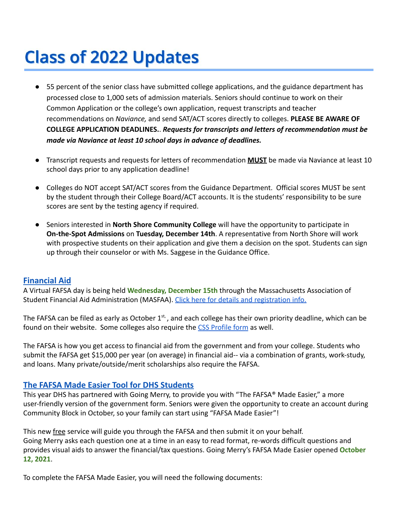## **Class of 2022 Updates**

- **●** 55 percent of the senior class have submitted college applications, and the guidance department has processed close to 1,000 sets of admission materials. Seniors should continue to work on their Common Application or the college's own application, request transcripts and teacher recommendations on *Naviance,* and send SAT/ACT scores directly to colleges. **PLEASE BE AWARE OF COLLEGE APPLICATION DEADLINES.**. *Requests for transcripts and letters of recommendation must be made via Naviance at least 10 school days in advance of deadlines.*
- **●** Transcript requests and requests for letters of recommendation **MUST** be made via Naviance at least 10 school days prior to any application deadline!
- **●** Colleges do NOT accept SAT/ACT scores from the Guidance Department. Official scores MUST be sent by the student through their College Board/ACT accounts. It is the students' responsibility to be sure scores are sent by the testing agency if required.
- Seniors interested in **North Shore Community College** will have the opportunity to participate in **On-the-Spot Admissions** on **Tuesday, December 14th**. A representative from North Shore will work with prospective students on their application and give them a decision on the spot. Students can sign up through their counselor or with Ms. Saggese in the Guidance Office.

#### **Financial Aid**

A Virtual FAFSA day is being held **Wednesday, December 15th** through the Massachusetts Association of Student Financial Aid Administration (MASFAA). Click [here for details and registration info.](https://masfaa.org/fafsaday/)

The FAFSA can be filed as early as October  $1^{st}$ , and each college has their own priority deadline, which can be found on their website. Some colleges also require the [CSS Profile form](https://cssprofile.collegeboard.org/) as well.

The FAFSA is how you get access to financial aid from the government and from your college. Students who submit the FAFSA get \$15,000 per year (on average) in financial aid-- via a combination of grants, work-study, and loans. Many private/outside/merit scholarships also require the FAFSA.

#### **The FAFSA Made Easier Tool for DHS Students**

This year DHS has partnered with Going Merry, to provide you with "The FAFSA® Made Easier," a more user-friendly version of the government form. Seniors were given the opportunity to create an account during Community Block in October, so your family can start using "FAFSA Made Easier"!

This new free service will guide you through the FAFSA and then submit it on your behalf. Going Merry asks each question one at a time in an easy to read format, re-words difficult questions and provides visual aids to answer the financial/tax questions. Going Merry's FAFSA Made Easier opened **October 12, 2021**.

To complete the FAFSA Made Easier, you will need the following documents: